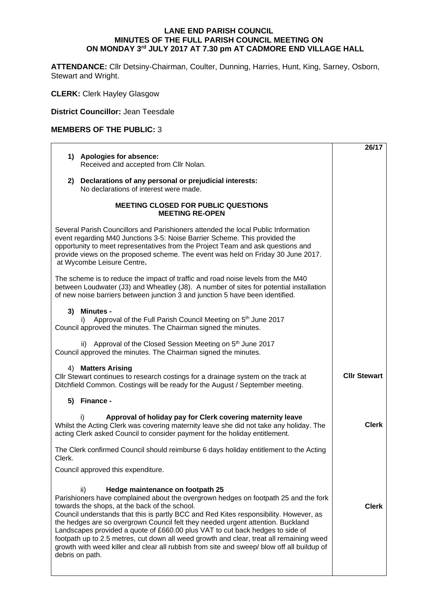## **LANE END PARISH COUNCIL MINUTES OF THE FULL PARISH COUNCIL MEETING ON ON MONDAY 3rd JULY 2017 AT 7.30 pm AT CADMORE END VILLAGE HALL**

**ATTENDANCE:** Cllr Detsiny-Chairman, Coulter, Dunning, Harries, Hunt, King, Sarney, Osborn, Stewart and Wright.

**CLERK:** Clerk Hayley Glasgow

**District Councillor:** Jean Teesdale

## **MEMBERS OF THE PUBLIC:** 3

|                                                                                                                                                                                                                                                                                                                                                                                                                                                                                                                                                                                                                                                          | 26/17               |
|----------------------------------------------------------------------------------------------------------------------------------------------------------------------------------------------------------------------------------------------------------------------------------------------------------------------------------------------------------------------------------------------------------------------------------------------------------------------------------------------------------------------------------------------------------------------------------------------------------------------------------------------------------|---------------------|
| 1) Apologies for absence:                                                                                                                                                                                                                                                                                                                                                                                                                                                                                                                                                                                                                                |                     |
| Received and accepted from Cllr Nolan.                                                                                                                                                                                                                                                                                                                                                                                                                                                                                                                                                                                                                   |                     |
| 2) Declarations of any personal or prejudicial interests:<br>No declarations of interest were made.                                                                                                                                                                                                                                                                                                                                                                                                                                                                                                                                                      |                     |
| <b>MEETING CLOSED FOR PUBLIC QUESTIONS</b><br><b>MEETING RE-OPEN</b>                                                                                                                                                                                                                                                                                                                                                                                                                                                                                                                                                                                     |                     |
| Several Parish Councillors and Parishioners attended the local Public Information<br>event regarding M40 Junctions 3-5: Noise Barrier Scheme. This provided the<br>opportunity to meet representatives from the Project Team and ask questions and<br>provide views on the proposed scheme. The event was held on Friday 30 June 2017.<br>at Wycombe Leisure Centre.                                                                                                                                                                                                                                                                                     |                     |
| The scheme is to reduce the impact of traffic and road noise levels from the M40<br>between Loudwater (J3) and Wheatley (J8). A number of sites for potential installation<br>of new noise barriers between junction 3 and junction 5 have been identified.                                                                                                                                                                                                                                                                                                                                                                                              |                     |
| 3) Minutes -                                                                                                                                                                                                                                                                                                                                                                                                                                                                                                                                                                                                                                             |                     |
| Approval of the Full Parish Council Meeting on 5 <sup>th</sup> June 2017<br>i)<br>Council approved the minutes. The Chairman signed the minutes.                                                                                                                                                                                                                                                                                                                                                                                                                                                                                                         |                     |
| ii) Approval of the Closed Session Meeting on 5 <sup>th</sup> June 2017<br>Council approved the minutes. The Chairman signed the minutes.                                                                                                                                                                                                                                                                                                                                                                                                                                                                                                                |                     |
| 4) Matters Arising<br>Cllr Stewart continues to research costings for a drainage system on the track at<br>Ditchfield Common. Costings will be ready for the August / September meeting.                                                                                                                                                                                                                                                                                                                                                                                                                                                                 | <b>CIIr Stewart</b> |
| 5) Finance -                                                                                                                                                                                                                                                                                                                                                                                                                                                                                                                                                                                                                                             |                     |
| Approval of holiday pay for Clerk covering maternity leave<br>i)<br>Whilst the Acting Clerk was covering maternity leave she did not take any holiday. The<br>acting Clerk asked Council to consider payment for the holiday entitlement.                                                                                                                                                                                                                                                                                                                                                                                                                | <b>Clerk</b>        |
| The Clerk confirmed Council should reimburse 6 days holiday entitlement to the Acting<br>Clerk.                                                                                                                                                                                                                                                                                                                                                                                                                                                                                                                                                          |                     |
| Council approved this expenditure.                                                                                                                                                                                                                                                                                                                                                                                                                                                                                                                                                                                                                       |                     |
| Hedge maintenance on footpath 25<br>ii)<br>Parishioners have complained about the overgrown hedges on footpath 25 and the fork<br>towards the shops, at the back of the school.<br>Council understands that this is partly BCC and Red Kites responsibility. However, as<br>the hedges are so overgrown Council felt they needed urgent attention. Buckland<br>Landscapes provided a quote of £660.00 plus VAT to cut back hedges to side of<br>footpath up to 2.5 metres, cut down all weed growth and clear, treat all remaining weed<br>growth with weed killer and clear all rubbish from site and sweep/ blow off all buildup of<br>debris on path. | <b>Clerk</b>        |
|                                                                                                                                                                                                                                                                                                                                                                                                                                                                                                                                                                                                                                                          |                     |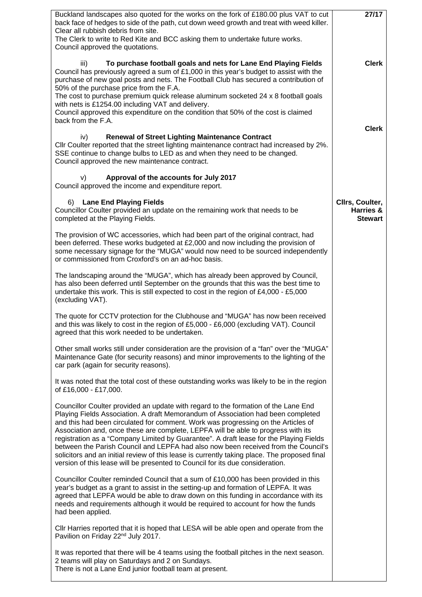| Buckland landscapes also quoted for the works on the fork of £180.00 plus VAT to cut<br>back face of hedges to side of the path, cut down weed growth and treat with weed killer.<br>Clear all rubbish debris from site.<br>The Clerk to write to Red Kite and BCC asking them to undertake future works.<br>Council approved the quotations.                                                                                                                                                                                                                                                                                                                                                                     | 27/17                                          |
|-------------------------------------------------------------------------------------------------------------------------------------------------------------------------------------------------------------------------------------------------------------------------------------------------------------------------------------------------------------------------------------------------------------------------------------------------------------------------------------------------------------------------------------------------------------------------------------------------------------------------------------------------------------------------------------------------------------------|------------------------------------------------|
| To purchase football goals and nets for Lane End Playing Fields<br>iii)<br>Council has previously agreed a sum of £1,000 in this year's budget to assist with the<br>purchase of new goal posts and nets. The Football Club has secured a contribution of<br>50% of the purchase price from the F.A.<br>The cost to purchase premium quick release aluminum socketed 24 x 8 football goals<br>with nets is £1254.00 including VAT and delivery.<br>Council approved this expenditure on the condition that 50% of the cost is claimed<br>back from the F.A.                                                                                                                                                       | <b>Clerk</b>                                   |
| <b>Renewal of Street Lighting Maintenance Contract</b><br>iv)<br>Cllr Coulter reported that the street lighting maintenance contract had increased by 2%.<br>SSE continue to change bulbs to LED as and when they need to be changed.<br>Council approved the new maintenance contract.                                                                                                                                                                                                                                                                                                                                                                                                                           | <b>Clerk</b>                                   |
| Approval of the accounts for July 2017<br>V)<br>Council approved the income and expenditure report.                                                                                                                                                                                                                                                                                                                                                                                                                                                                                                                                                                                                               |                                                |
| 6) Lane End Playing Fields<br>Councillor Coulter provided an update on the remaining work that needs to be<br>completed at the Playing Fields.                                                                                                                                                                                                                                                                                                                                                                                                                                                                                                                                                                    | Cllrs, Coulter,<br>Harries &<br><b>Stewart</b> |
| The provision of WC accessories, which had been part of the original contract, had<br>been deferred. These works budgeted at £2,000 and now including the provision of<br>some necessary signage for the "MUGA" would now need to be sourced independently<br>or commissioned from Croxford's on an ad-hoc basis.                                                                                                                                                                                                                                                                                                                                                                                                 |                                                |
| The landscaping around the "MUGA", which has already been approved by Council,<br>has also been deferred until September on the grounds that this was the best time to<br>undertake this work. This is still expected to cost in the region of £4,000 - £5,000<br>(excluding VAT).                                                                                                                                                                                                                                                                                                                                                                                                                                |                                                |
| The quote for CCTV protection for the Clubhouse and "MUGA" has now been received<br>and this was likely to cost in the region of £5,000 - £6,000 (excluding VAT). Council<br>agreed that this work needed to be undertaken.                                                                                                                                                                                                                                                                                                                                                                                                                                                                                       |                                                |
| Other small works still under consideration are the provision of a "fan" over the "MUGA"<br>Maintenance Gate (for security reasons) and minor improvements to the lighting of the<br>car park (again for security reasons).                                                                                                                                                                                                                                                                                                                                                                                                                                                                                       |                                                |
| It was noted that the total cost of these outstanding works was likely to be in the region<br>of £16,000 - £17,000.                                                                                                                                                                                                                                                                                                                                                                                                                                                                                                                                                                                               |                                                |
| Councillor Coulter provided an update with regard to the formation of the Lane End<br>Playing Fields Association. A draft Memorandum of Association had been completed<br>and this had been circulated for comment. Work was progressing on the Articles of<br>Association and, once these are complete, LEPFA will be able to progress with its<br>registration as a "Company Limited by Guarantee". A draft lease for the Playing Fields<br>between the Parish Council and LEPFA had also now been received from the Council's<br>solicitors and an initial review of this lease is currently taking place. The proposed final<br>version of this lease will be presented to Council for its due consideration. |                                                |
| Councillor Coulter reminded Council that a sum of £10,000 has been provided in this<br>year's budget as a grant to assist in the setting-up and formation of LEPFA. It was<br>agreed that LEPFA would be able to draw down on this funding in accordance with its<br>needs and requirements although it would be required to account for how the funds<br>had been applied.                                                                                                                                                                                                                                                                                                                                       |                                                |
| CIIr Harries reported that it is hoped that LESA will be able open and operate from the<br>Pavilion on Friday 22 <sup>nd</sup> July 2017.                                                                                                                                                                                                                                                                                                                                                                                                                                                                                                                                                                         |                                                |
| It was reported that there will be 4 teams using the football pitches in the next season.<br>2 teams will play on Saturdays and 2 on Sundays.<br>There is not a Lane End junior football team at present.                                                                                                                                                                                                                                                                                                                                                                                                                                                                                                         |                                                |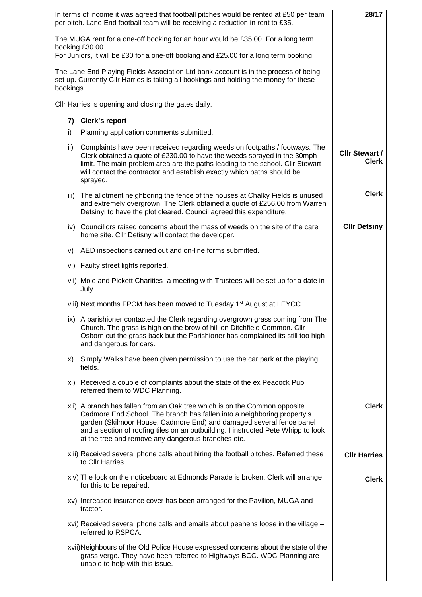| In terms of income it was agreed that football pitches would be rented at £50 per team<br>per pitch. Lane End football team will be receiving a reduction in rent to £35.                 |                                                                                                                                                                                                                                                                                                                                        |                                                                                                                                                                                                                                                                                                                   |                                       |  |  |  |
|-------------------------------------------------------------------------------------------------------------------------------------------------------------------------------------------|----------------------------------------------------------------------------------------------------------------------------------------------------------------------------------------------------------------------------------------------------------------------------------------------------------------------------------------|-------------------------------------------------------------------------------------------------------------------------------------------------------------------------------------------------------------------------------------------------------------------------------------------------------------------|---------------------------------------|--|--|--|
| The MUGA rent for a one-off booking for an hour would be £35.00. For a long term<br>booking £30.00.                                                                                       |                                                                                                                                                                                                                                                                                                                                        |                                                                                                                                                                                                                                                                                                                   |                                       |  |  |  |
| For Juniors, it will be £30 for a one-off booking and £25.00 for a long term booking.                                                                                                     |                                                                                                                                                                                                                                                                                                                                        |                                                                                                                                                                                                                                                                                                                   |                                       |  |  |  |
| The Lane End Playing Fields Association Ltd bank account is in the process of being<br>set up. Currently Cllr Harries is taking all bookings and holding the money for these<br>bookings. |                                                                                                                                                                                                                                                                                                                                        |                                                                                                                                                                                                                                                                                                                   |                                       |  |  |  |
| CIIr Harries is opening and closing the gates daily.                                                                                                                                      |                                                                                                                                                                                                                                                                                                                                        |                                                                                                                                                                                                                                                                                                                   |                                       |  |  |  |
|                                                                                                                                                                                           | 7) Clerk's report                                                                                                                                                                                                                                                                                                                      |                                                                                                                                                                                                                                                                                                                   |                                       |  |  |  |
|                                                                                                                                                                                           | Planning application comments submitted.<br>i)                                                                                                                                                                                                                                                                                         |                                                                                                                                                                                                                                                                                                                   |                                       |  |  |  |
|                                                                                                                                                                                           | Complaints have been received regarding weeds on footpaths / footways. The<br>ii)<br>Clerk obtained a quote of £230.00 to have the weeds sprayed in the 30mph<br>limit. The main problem area are the paths leading to the school. Cllr Stewart<br>will contact the contractor and establish exactly which paths should be<br>sprayed. |                                                                                                                                                                                                                                                                                                                   | <b>Clir Stewart /</b><br><b>Clerk</b> |  |  |  |
|                                                                                                                                                                                           | The allotment neighboring the fence of the houses at Chalky Fields is unused<br>iii)<br>and extremely overgrown. The Clerk obtained a quote of £256.00 from Warren<br>Detsinyi to have the plot cleared. Council agreed this expenditure.                                                                                              |                                                                                                                                                                                                                                                                                                                   | <b>Clerk</b>                          |  |  |  |
|                                                                                                                                                                                           |                                                                                                                                                                                                                                                                                                                                        | iv) Councillors raised concerns about the mass of weeds on the site of the care<br>home site. Cllr Detisny will contact the developer.                                                                                                                                                                            | <b>Cllr Detsiny</b>                   |  |  |  |
|                                                                                                                                                                                           | V)                                                                                                                                                                                                                                                                                                                                     | AED inspections carried out and on-line forms submitted.                                                                                                                                                                                                                                                          |                                       |  |  |  |
|                                                                                                                                                                                           | Vİ)                                                                                                                                                                                                                                                                                                                                    | Faulty street lights reported.                                                                                                                                                                                                                                                                                    |                                       |  |  |  |
|                                                                                                                                                                                           | vii) Mole and Pickett Charities- a meeting with Trustees will be set up for a date in<br>July.                                                                                                                                                                                                                                         |                                                                                                                                                                                                                                                                                                                   |                                       |  |  |  |
|                                                                                                                                                                                           | viii) Next months FPCM has been moved to Tuesday 1 <sup>st</sup> August at LEYCC.                                                                                                                                                                                                                                                      |                                                                                                                                                                                                                                                                                                                   |                                       |  |  |  |
|                                                                                                                                                                                           | ix) A parishioner contacted the Clerk regarding overgrown grass coming from The<br>Church. The grass is high on the brow of hill on Ditchfield Common. Cllr<br>Osborn cut the grass back but the Parishioner has complained its still too high<br>and dangerous for cars.                                                              |                                                                                                                                                                                                                                                                                                                   |                                       |  |  |  |
|                                                                                                                                                                                           | Simply Walks have been given permission to use the car park at the playing<br>X)<br>fields.                                                                                                                                                                                                                                            |                                                                                                                                                                                                                                                                                                                   |                                       |  |  |  |
|                                                                                                                                                                                           |                                                                                                                                                                                                                                                                                                                                        | xi) Received a couple of complaints about the state of the ex Peacock Pub. I<br>referred them to WDC Planning.                                                                                                                                                                                                    |                                       |  |  |  |
| at the tree and remove any dangerous branches etc.                                                                                                                                        |                                                                                                                                                                                                                                                                                                                                        | xii) A branch has fallen from an Oak tree which is on the Common opposite<br>Cadmore End School. The branch has fallen into a neighboring property's<br>garden (Skilmoor House, Cadmore End) and damaged several fence panel<br>and a section of roofing tiles on an outbuilding. I instructed Pete Whipp to look | <b>Clerk</b>                          |  |  |  |
|                                                                                                                                                                                           | xiii) Received several phone calls about hiring the football pitches. Referred these<br>to Cllr Harries                                                                                                                                                                                                                                |                                                                                                                                                                                                                                                                                                                   | <b>CIIr Harries</b>                   |  |  |  |
|                                                                                                                                                                                           | xiv) The lock on the noticeboard at Edmonds Parade is broken. Clerk will arrange<br>for this to be repaired.                                                                                                                                                                                                                           |                                                                                                                                                                                                                                                                                                                   | <b>Clerk</b>                          |  |  |  |
|                                                                                                                                                                                           | xv) Increased insurance cover has been arranged for the Pavilion, MUGA and<br>tractor.                                                                                                                                                                                                                                                 |                                                                                                                                                                                                                                                                                                                   |                                       |  |  |  |
|                                                                                                                                                                                           | xvi) Received several phone calls and emails about peahens loose in the village -<br>referred to RSPCA.                                                                                                                                                                                                                                |                                                                                                                                                                                                                                                                                                                   |                                       |  |  |  |
|                                                                                                                                                                                           |                                                                                                                                                                                                                                                                                                                                        |                                                                                                                                                                                                                                                                                                                   |                                       |  |  |  |